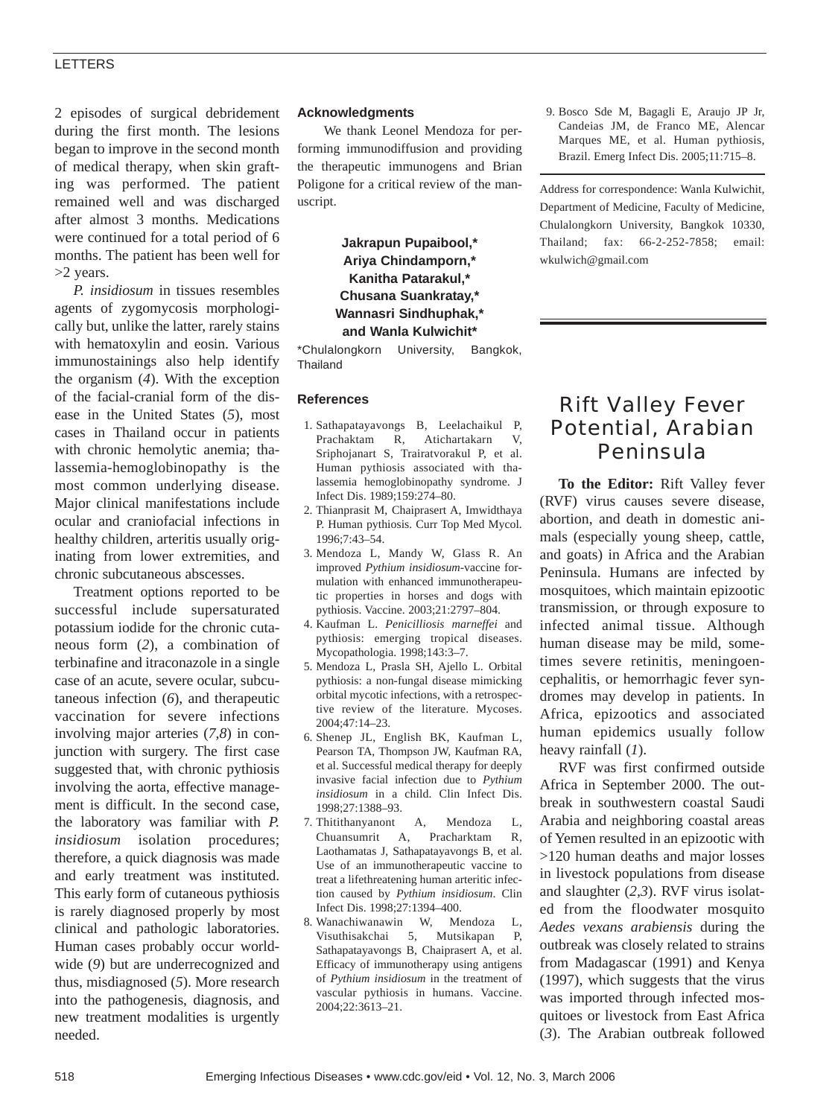## LETTERS

2 episodes of surgical debridement during the first month. The lesions began to improve in the second month of medical therapy, when skin grafting was performed. The patient remained well and was discharged after almost 3 months. Medications were continued for a total period of 6 months. The patient has been well for >2 years.

*P. insidiosum* in tissues resembles agents of zygomycosis morphologically but, unlike the latter, rarely stains with hematoxylin and eosin. Various immunostainings also help identify the organism (*4*). With the exception of the facial-cranial form of the disease in the United States (*5*), most cases in Thailand occur in patients with chronic hemolytic anemia; thalassemia-hemoglobinopathy is the most common underlying disease. Major clinical manifestations include ocular and craniofacial infections in healthy children, arteritis usually originating from lower extremities, and chronic subcutaneous abscesses.

Treatment options reported to be successful include supersaturated potassium iodide for the chronic cutaneous form (*2*), a combination of terbinafine and itraconazole in a single case of an acute, severe ocular, subcutaneous infection (*6*), and therapeutic vaccination for severe infections involving major arteries (*7,8*) in conjunction with surgery. The first case suggested that, with chronic pythiosis involving the aorta, effective management is difficult. In the second case, the laboratory was familiar with *P. insidiosum* isolation procedures; therefore, a quick diagnosis was made and early treatment was instituted. This early form of cutaneous pythiosis is rarely diagnosed properly by most clinical and pathologic laboratories. Human cases probably occur worldwide (*9*) but are underrecognized and thus, misdiagnosed (*5*). More research into the pathogenesis, diagnosis, and new treatment modalities is urgently needed.

### **Acknowledgments**

We thank Leonel Mendoza for performing immunodiffusion and providing the therapeutic immunogens and Brian Poligone for a critical review of the manuscript.

## **Jakrapun Pupaibool,\* Ariya Chindamporn,\* Kanitha Patarakul,\* Chusana Suankratay,\* Wannasri Sindhuphak,\* and Wanla Kulwichit\***

\*Chulalongkorn University, Bangkok, Thailand

### **References**

- 1. Sathapatayavongs B, Leelachaikul P, Prachaktam R, Atichartakarn V, Sriphojanart S, Trairatvorakul P, et al. Human pythiosis associated with thalassemia hemoglobinopathy syndrome. J Infect Dis. 1989;159:274–80.
- 2. Thianprasit M, Chaiprasert A, Imwidthaya P. Human pythiosis. Curr Top Med Mycol. 1996;7:43–54.
- 3. Mendoza L, Mandy W, Glass R. An improved *Pythium insidiosum*-vaccine formulation with enhanced immunotherapeutic properties in horses and dogs with pythiosis. Vaccine. 2003;21:2797–804.
- 4. Kaufman L. *Penicilliosis marneffei* and pythiosis: emerging tropical diseases. Mycopathologia. 1998;143:3–7.
- 5. Mendoza L, Prasla SH, Ajello L. Orbital pythiosis: a non-fungal disease mimicking orbital mycotic infections, with a retrospective review of the literature. Mycoses. 2004;47:14–23.
- 6. Shenep JL, English BK, Kaufman L, Pearson TA, Thompson JW, Kaufman RA, et al. Successful medical therapy for deeply invasive facial infection due to *Pythium insidiosum* in a child. Clin Infect Dis. 1998;27:1388–93.
- 7. Thitithanyanont A, Mendoza L, Chuansumrit A, Pracharktam R, Laothamatas J, Sathapatayavongs B, et al. Use of an immunotherapeutic vaccine to treat a lifethreatening human arteritic infection caused by *Pythium insidiosum*. Clin Infect Dis. 1998;27:1394–400.
- 8. Wanachiwanawin W, Mendoza L, Visuthisakchai 5, Mutsikapan P, Sathapatayavongs B, Chaiprasert A, et al. Efficacy of immunotherapy using antigens of *Pythium insidiosum* in the treatment of vascular pythiosis in humans. Vaccine. 2004;22:3613–21.

9. Bosco Sde M, Bagagli E, Araujo JP Jr, Candeias JM, de Franco ME, Alencar Marques ME, et al. Human pythiosis, Brazil. Emerg Infect Dis. 2005;11:715–8.

Address for correspondence: Wanla Kulwichit, Department of Medicine, Faculty of Medicine, Chulalongkorn University, Bangkok 10330, Thailand; fax: 66-2-252-7858; email: wkulwich@gmail.com

# Rift Valley Fever Potential, Arabian Peninsula

**To the Editor:** Rift Valley fever (RVF) virus causes severe disease, abortion, and death in domestic animals (especially young sheep, cattle, and goats) in Africa and the Arabian Peninsula. Humans are infected by mosquitoes, which maintain epizootic transmission, or through exposure to infected animal tissue. Although human disease may be mild, sometimes severe retinitis, meningoencephalitis, or hemorrhagic fever syndromes may develop in patients. In Africa, epizootics and associated human epidemics usually follow heavy rainfall (*1*).

RVF was first confirmed outside Africa in September 2000. The outbreak in southwestern coastal Saudi Arabia and neighboring coastal areas of Yemen resulted in an epizootic with >120 human deaths and major losses in livestock populations from disease and slaughter (*2,3*). RVF virus isolated from the floodwater mosquito *Aedes vexans arabiensis* during the outbreak was closely related to strains from Madagascar (1991) and Kenya (1997), which suggests that the virus was imported through infected mosquitoes or livestock from East Africa (*3*). The Arabian outbreak followed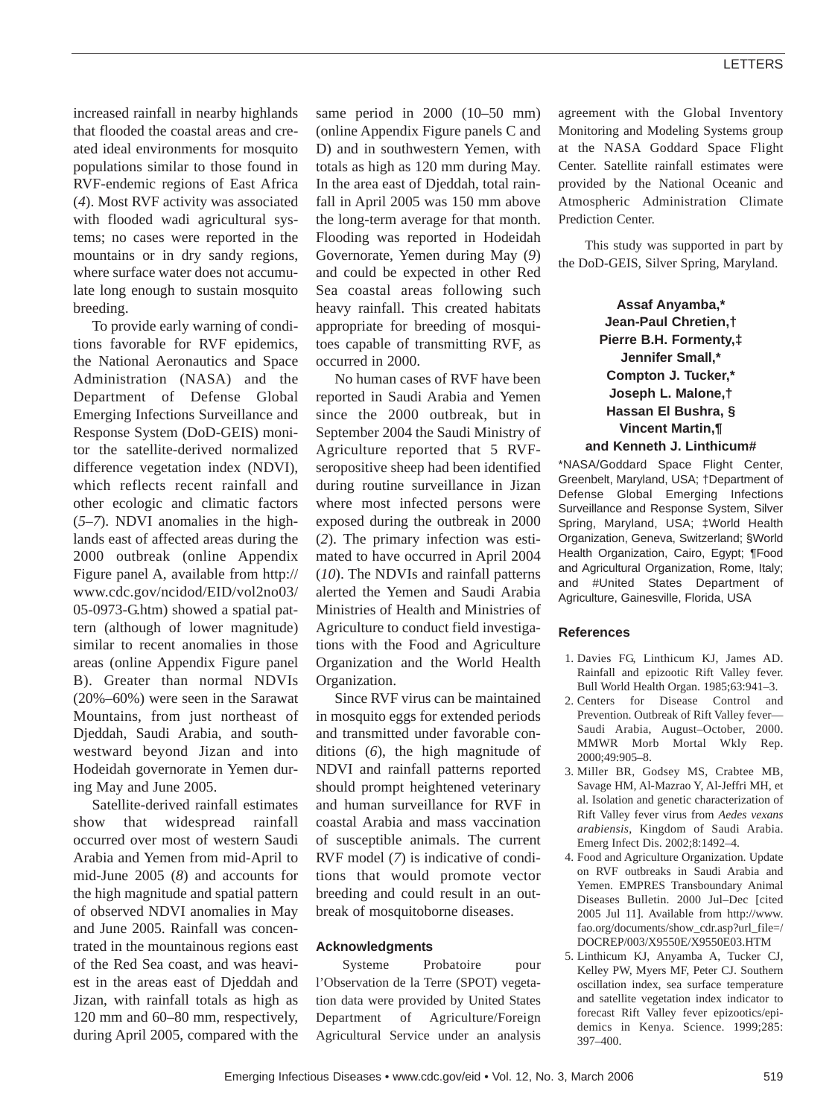increased rainfall in nearby highlands that flooded the coastal areas and created ideal environments for mosquito populations similar to those found in RVF-endemic regions of East Africa (*4*). Most RVF activity was associated with flooded wadi agricultural systems; no cases were reported in the mountains or in dry sandy regions, where surface water does not accumulate long enough to sustain mosquito breeding.

To provide early warning of conditions favorable for RVF epidemics, the National Aeronautics and Space Administration (NASA) and the Department of Defense Global Emerging Infections Surveillance and Response System (DoD-GEIS) monitor the satellite-derived normalized difference vegetation index (NDVI), which reflects recent rainfall and other ecologic and climatic factors (*5–7*). NDVI anomalies in the highlands east of affected areas during the 2000 outbreak (online Appendix Figure panel A, available from http:// www.cdc.gov/ncidod/EID/vol2no03/ 05-0973-G.htm) showed a spatial pattern (although of lower magnitude) similar to recent anomalies in those areas (online Appendix Figure panel B). Greater than normal NDVIs (20%–60%) were seen in the Sarawat Mountains, from just northeast of Djeddah, Saudi Arabia, and southwestward beyond Jizan and into Hodeidah governorate in Yemen during May and June 2005.

Satellite-derived rainfall estimates show that widespread rainfall occurred over most of western Saudi Arabia and Yemen from mid-April to mid-June 2005 (*8*) and accounts for the high magnitude and spatial pattern of observed NDVI anomalies in May and June 2005. Rainfall was concentrated in the mountainous regions east of the Red Sea coast, and was heaviest in the areas east of Djeddah and Jizan, with rainfall totals as high as 120 mm and 60–80 mm, respectively, during April 2005, compared with the same period in 2000 (10–50 mm) (online Appendix Figure panels C and D) and in southwestern Yemen, with totals as high as 120 mm during May. In the area east of Djeddah, total rainfall in April 2005 was 150 mm above the long-term average for that month. Flooding was reported in Hodeidah Governorate, Yemen during May (*9*) and could be expected in other Red Sea coastal areas following such heavy rainfall. This created habitats appropriate for breeding of mosquitoes capable of transmitting RVF, as occurred in 2000.

No human cases of RVF have been reported in Saudi Arabia and Yemen since the 2000 outbreak, but in September 2004 the Saudi Ministry of Agriculture reported that 5 RVFseropositive sheep had been identified during routine surveillance in Jizan where most infected persons were exposed during the outbreak in 2000 (*2*). The primary infection was estimated to have occurred in April 2004 (*10*). The NDVIs and rainfall patterns alerted the Yemen and Saudi Arabia Ministries of Health and Ministries of Agriculture to conduct field investigations with the Food and Agriculture Organization and the World Health Organization.

Since RVF virus can be maintained in mosquito eggs for extended periods and transmitted under favorable conditions (*6*), the high magnitude of NDVI and rainfall patterns reported should prompt heightened veterinary and human surveillance for RVF in coastal Arabia and mass vaccination of susceptible animals. The current RVF model (*7*) is indicative of conditions that would promote vector breeding and could result in an outbreak of mosquitoborne diseases.

#### **Acknowledgments**

Systeme Probatoire pour l'Observation de la Terre (SPOT) vegetation data were provided by United States Department of Agriculture/Foreign Agricultural Service under an analysis agreement with the Global Inventory Monitoring and Modeling Systems group at the NASA Goddard Space Flight Center. Satellite rainfall estimates were provided by the National Oceanic and Atmospheric Administration Climate Prediction Center.

This study was supported in part by the DoD-GEIS, Silver Spring, Maryland.

> **Assaf Anyamba,\* Jean-Paul Chretien,† Pierre B.H. Formenty,‡ Jennifer Small,\* Compton J. Tucker,\* Joseph L. Malone,† Hassan El Bushra, § Vincent Martin,¶ and Kenneth J. Linthicum#**

\*NASA/Goddard Space Flight Center, Greenbelt, Maryland, USA; †Department of Defense Global Emerging Infections Surveillance and Response System, Silver Spring, Maryland, USA; ‡World Health Organization, Geneva, Switzerland; §World Health Organization, Cairo, Egypt; ¶Food and Agricultural Organization, Rome, Italy; and #United States Department of Agriculture, Gainesville, Florida, USA

#### **References**

- 1. Davies FG, Linthicum KJ, James AD. Rainfall and epizootic Rift Valley fever. Bull World Health Organ. 1985;63:941–3.
- 2. Centers for Disease Control and Prevention. Outbreak of Rift Valley fever— Saudi Arabia, August–October, 2000. MMWR Morb Mortal Wkly Rep. 2000;49:905–8.
- 3. Miller BR, Godsey MS, Crabtee MB, Savage HM, Al-Mazrao Y, Al-Jeffri MH, et al. Isolation and genetic characterization of Rift Valley fever virus from *Aedes vexans arabiensis*, Kingdom of Saudi Arabia. Emerg Infect Dis. 2002;8:1492–4.
- 4. Food and Agriculture Organization. Update on RVF outbreaks in Saudi Arabia and Yemen. EMPRES Transboundary Animal Diseases Bulletin. 2000 Jul–Dec [cited 2005 Jul 11]. Available from http://www. fao.org/documents/show\_cdr.asp?url\_file=/ DOCREP/003/X9550E/X9550E03.HTM
- 5. Linthicum KJ, Anyamba A, Tucker CJ, Kelley PW, Myers MF, Peter CJ. Southern oscillation index, sea surface temperature and satellite vegetation index indicator to forecast Rift Valley fever epizootics/epidemics in Kenya. Science. 1999;285: 397–400.